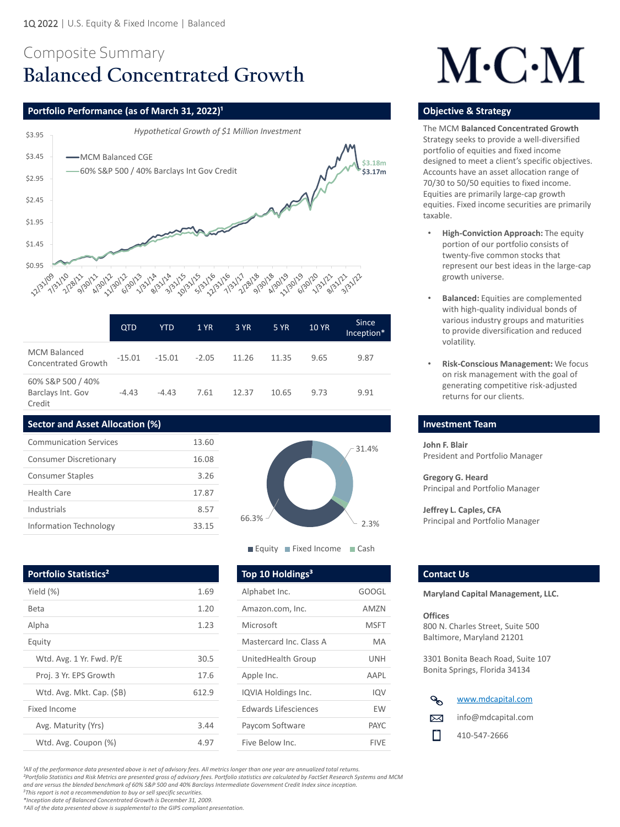

## Composite Summary **Balanced Concentrated Growth**

### **Portfolio Performance (as of March 31, 2022)<sup>1</sup> <b>Discription of American Control of Construction Constrategy in the Strategy of Constrategy in the Strategy of Constrategy in the Strategy of Constration Construction Constr**

*²Portfolio Statistics and Risk Metrics are presented gross of advisory fees. Portfolio statistics are calculated by FactSet Research Systems and MCM* 

*and are versus the blended benchmark of 60% S&P 500 and 40% Barclays Intermediate Government Credit Index since inception.*

*<sup>3</sup>This report is not a recommendation to buy or sell specific securities.* 

*\*Inception date of Balanced Concentrated Growth is December 31, 2009.*

*†All of the data presented above is supplemental to the GIPS compliant presentation.* 

|                                                   | <b>QTD</b> | <b>YTD</b> | <b>1 YR</b> | 3 YR  | 5 YR  | <b>10 YR</b> | <b>Since</b><br>Inception* |
|---------------------------------------------------|------------|------------|-------------|-------|-------|--------------|----------------------------|
| <b>MCM Balanced</b><br><b>Concentrated Growth</b> | $-15.01$   | $-15.01$   | $-2.05$     | 11.26 | 11.35 | 9.65         | 9.87                       |
| 60% S&P 500 / 40%<br>Barclays Int. Gov<br>Credit  | $-4.43$    | $-4.43$    | 7.61        | 12.37 | 10.65 | 9.73         | 9.91                       |



**Equity Fixed Income Cash** 

# $M\cdot C\cdot M$

**John F. Blair**  President and Portfolio Manager

**Gregory G. Heard** Principal and Portfolio Manager

**Jeffrey L. Caples, CFA** Principal and Portfolio Manager

#### **Portfolio Statistics<sup>2</sup> Contact Us and Top 10 Holdings<sup>3</sup> Contact Us**

The MCM **Balanced Concentrated Growth**  Strategy seeks to provide a well-diversified portfolio of equities and fixed income designed to meet a client's specific objectives. Accounts have an asset allocation range of 70/30 to 50/50 equities to fixed income. Equities are primarily large-cap growth equities. Fixed income securities are primarily taxable.

#### **Investment Team**

| Yield $(\%)$              | 1.69  | Alphabet Inc.               | <b>GOOGL</b> |
|---------------------------|-------|-----------------------------|--------------|
| <b>Beta</b>               | 1.20  | Amazon.com, Inc.            | <b>AMZN</b>  |
| Alpha                     | 1.23  | Microsoft                   | <b>MSFT</b>  |
| Equity                    |       | Mastercard Inc. Class A     | <b>MA</b>    |
| Wtd. Avg. 1 Yr. Fwd. P/E  | 30.5  | <b>UnitedHealth Group</b>   | <b>UNH</b>   |
| Proj. 3 Yr. EPS Growth    | 17.6  | Apple Inc.                  | <b>AAPL</b>  |
| Wtd. Avg. Mkt. Cap. (\$B) | 612.9 | IQVIA Holdings Inc.         | IQV          |
| <b>Fixed Income</b>       |       | <b>Edwards Lifesciences</b> | <b>EW</b>    |
| Avg. Maturity (Yrs)       | 3.44  | Paycom Software             | <b>PAYC</b>  |
| Wtd. Avg. Coupon (%)      | 4.97  | Five Below Inc.             | <b>FIVE</b>  |

GOOGL AM7N **MSFT** Mastercard Inc. Class A MA UnitedHealth Group UNH AAPL IQVIA Holdings Inc. **IQVIA** IQV Edwards Lifesciences EW PAYC

- **High-Conviction Approach:** The equity portion of our portfolio consists of twenty-five common stocks that represent our best ideas in the large-cap growth universe.
- **Balanced:** Equities are complemented with high-quality individual bonds of various industry groups and maturities to provide diversification and reduced volatility.
- **Risk-Conscious Management:** We focus on risk management with the goal of generating competitive risk-adjusted returns for our clients.

#### **Sector and Asset Allocation (%)**



<sup>1</sup>All of the performance data presented above is net of advisory fees. All metrics longer than one year are annualized total returns.

**Maryland Capital Management, LLC.**

#### **Offices**

800 N. Charles Street, Suite 500 Baltimore, Maryland 21201

3301 Bonita Beach Road, Suite 107 Bonita Springs, Florida 34134

| <b>Communication Services</b> | 13.60 |
|-------------------------------|-------|
| <b>Consumer Discretionary</b> | 16.08 |
| <b>Consumer Staples</b>       | 3.26  |
| <b>Health Care</b>            | 17.87 |
| Industrials                   | 8.57  |
| <b>Information Technology</b> | 33.15 |